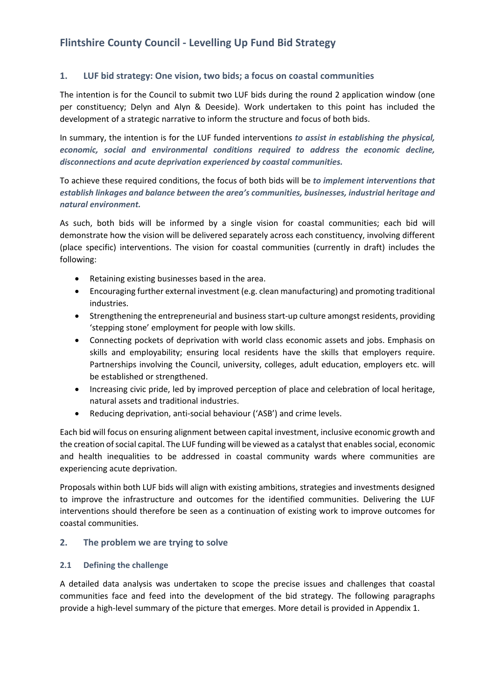# **Flintshire County Council - Levelling Up Fund Bid Strategy**

## **1. LUF bid strategy: One vision, two bids; a focus on coastal communities**

The intention is for the Council to submit two LUF bids during the round 2 application window (one per constituency; Delyn and Alyn & Deeside). Work undertaken to this point has included the development of a strategic narrative to inform the structure and focus of both bids.

In summary, the intention is for the LUF funded interventions *to assist in establishing the physical, economic, social and environmental conditions required to address the economic decline, disconnections and acute deprivation experienced by coastal communities.*

To achieve these required conditions, the focus of both bids will be *to implement interventions that establish linkages and balance between the area's communities, businesses, industrial heritage and natural environment.*

As such, both bids will be informed by a single vision for coastal communities; each bid will demonstrate how the vision will be delivered separately across each constituency, involving different (place specific) interventions. The vision for coastal communities (currently in draft) includes the following:

- Retaining existing businesses based in the area.
- Encouraging further external investment (e.g. clean manufacturing) and promoting traditional industries.
- Strengthening the entrepreneurial and business start-up culture amongst residents, providing 'stepping stone' employment for people with low skills.
- Connecting pockets of deprivation with world class economic assets and jobs. Emphasis on skills and employability; ensuring local residents have the skills that employers require. Partnerships involving the Council, university, colleges, adult education, employers etc. will be established or strengthened.
- Increasing civic pride, led by improved perception of place and celebration of local heritage, natural assets and traditional industries.
- Reducing deprivation, anti-social behaviour ('ASB') and crime levels.

Each bid will focus on ensuring alignment between capital investment, inclusive economic growth and the creation of social capital. The LUF funding will be viewed as a catalyst that enables social, economic and health inequalities to be addressed in coastal community wards where communities are experiencing acute deprivation.

Proposals within both LUF bids will align with existing ambitions, strategies and investments designed to improve the infrastructure and outcomes for the identified communities. Delivering the LUF interventions should therefore be seen as a continuation of existing work to improve outcomes for coastal communities.

### **2. The problem we are trying to solve**

### **2.1 Defining the challenge**

A detailed data analysis was undertaken to scope the precise issues and challenges that coastal communities face and feed into the development of the bid strategy. The following paragraphs provide a high-level summary of the picture that emerges. More detail is provided in Appendix 1.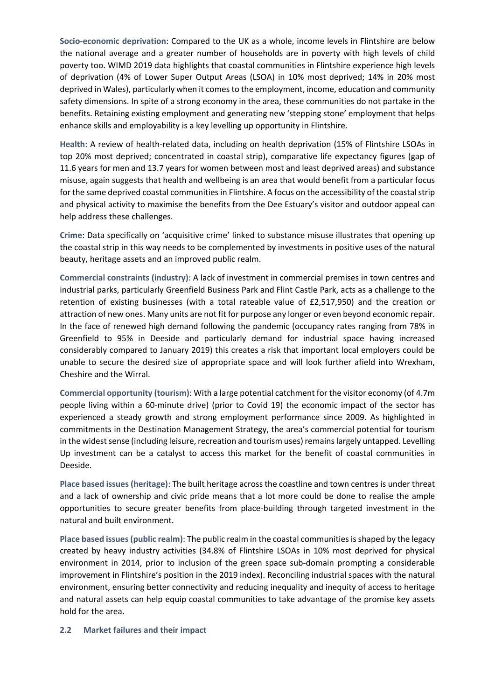**Socio-economic deprivation**: Compared to the UK as a whole, income levels in Flintshire are below the national average and a greater number of households are in poverty with high levels of child poverty too. WIMD 2019 data highlights that coastal communities in Flintshire experience high levels of deprivation (4% of Lower Super Output Areas (LSOA) in 10% most deprived; 14% in 20% most deprived in Wales), particularly when it comesto the employment, income, education and community safety dimensions. In spite of a strong economy in the area, these communities do not partake in the benefits. Retaining existing employment and generating new 'stepping stone' employment that helps enhance skills and employability is a key levelling up opportunity in Flintshire.

**Health**: A review of health-related data, including on health deprivation (15% of Flintshire LSOAs in top 20% most deprived; concentrated in coastal strip), comparative life expectancy figures (gap of 11.6 years for men and 13.7 years for women between most and least deprived areas) and substance misuse, again suggests that health and wellbeing is an area that would benefit from a particular focus for the same deprived coastal communities in Flintshire. A focus on the accessibility of the coastal strip and physical activity to maximise the benefits from the Dee Estuary's visitor and outdoor appeal can help address these challenges.

**Crime**: Data specifically on 'acquisitive crime' linked to substance misuse illustrates that opening up the coastal strip in this way needs to be complemented by investments in positive uses of the natural beauty, heritage assets and an improved public realm.

**Commercial constraints (industry)**: A lack of investment in commercial premises in town centres and industrial parks, particularly Greenfield Business Park and Flint Castle Park, acts as a challenge to the retention of existing businesses (with a total rateable value of £2,517,950) and the creation or attraction of new ones. Many units are not fit for purpose any longer or even beyond economic repair. In the face of renewed high demand following the pandemic (occupancy rates ranging from 78% in Greenfield to 95% in Deeside and particularly demand for industrial space having increased considerably compared to January 2019) this creates a risk that important local employers could be unable to secure the desired size of appropriate space and will look further afield into Wrexham, Cheshire and the Wirral.

**Commercial opportunity (tourism)**: With a large potential catchment for the visitor economy (of 4.7m people living within a 60-minute drive) (prior to Covid 19) the economic impact of the sector has experienced a steady growth and strong employment performance since 2009. As highlighted in commitments in the Destination Management Strategy, the area's commercial potential for tourism in the widest sense (including leisure, recreation and tourism uses) remains largely untapped. Levelling Up investment can be a catalyst to access this market for the benefit of coastal communities in Deeside.

**Place based issues (heritage)**: The built heritage across the coastline and town centres is under threat and a lack of ownership and civic pride means that a lot more could be done to realise the ample opportunities to secure greater benefits from place-building through targeted investment in the natural and built environment.

**Place based issues(public realm)**: The public realm in the coastal communities isshaped by the legacy created by heavy industry activities (34.8% of Flintshire LSOAs in 10% most deprived for physical environment in 2014, prior to inclusion of the green space sub-domain prompting a considerable improvement in Flintshire's position in the 2019 index). Reconciling industrial spaces with the natural environment, ensuring better connectivity and reducing inequality and inequity of access to heritage and natural assets can help equip coastal communities to take advantage of the promise key assets hold for the area.

### **2.2 Market failures and their impact**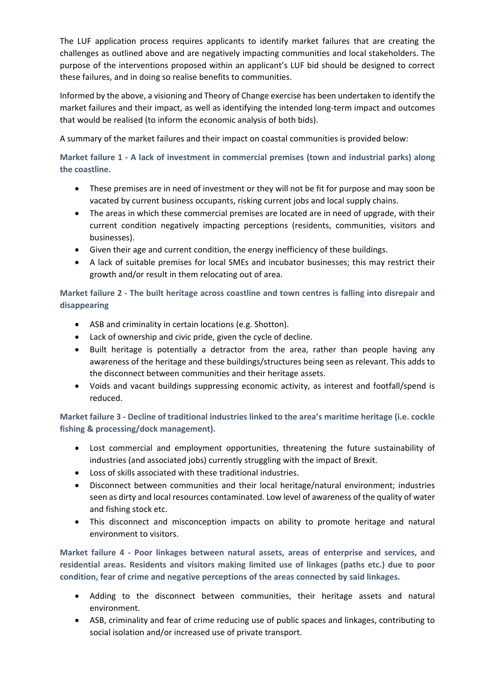The LUF application process requires applicants to identify market failures that are creating the challenges as outlined above and are negatively impacting communities and local stakeholders. The purpose of the interventions proposed within an applicant's LUF bid should be designed to correct these failures, and in doing so realise benefits to communities.

Informed by the above, a visioning and Theory of Change exercise has been undertaken to identify the market failures and their impact, as well as identifying the intended long-term impact and outcomes that would be realised (to inform the economic analysis of both bids).

A summary of the market failures and their impact on coastal communities is provided below:

**Market failure 1 - A lack of investment in commercial premises (town and industrial parks) along the coastline.**

- These premises are in need of investment or they will not be fit for purpose and may soon be vacated by current business occupants, risking current jobs and local supply chains.
- The areas in which these commercial premises are located are in need of upgrade, with their current condition negatively impacting perceptions (residents, communities, visitors and businesses).
- Given their age and current condition, the energy inefficiency of these buildings.
- A lack of suitable premises for local SMEs and incubator businesses; this may restrict their growth and/or result in them relocating out of area.

# **Market failure 2 - The built heritage across coastline and town centres is falling into disrepair and disappearing**

- ASB and criminality in certain locations (e.g. Shotton).
- Lack of ownership and civic pride, given the cycle of decline.
- Built heritage is potentially a detractor from the area, rather than people having any awareness of the heritage and these buildings/structures being seen as relevant. This adds to the disconnect between communities and their heritage assets.
- Voids and vacant buildings suppressing economic activity, as interest and footfall/spend is reduced.

**Market failure 3 - Decline of traditional industries linked to the area's maritime heritage (i.e. cockle fishing & processing/dock management).** 

- Lost commercial and employment opportunities, threatening the future sustainability of industries (and associated jobs) currently struggling with the impact of Brexit.
- Loss of skills associated with these traditional industries.
- Disconnect between communities and their local heritage/natural environment; industries seen as dirty and local resources contaminated. Low level of awareness of the quality of water and fishing stock etc.
- This disconnect and misconception impacts on ability to promote heritage and natural environment to visitors.

**Market failure 4 - Poor linkages between natural assets, areas of enterprise and services, and residential areas. Residents and visitors making limited use of linkages (paths etc.) due to poor condition, fear of crime and negative perceptions of the areas connected by said linkages.**

- Adding to the disconnect between communities, their heritage assets and natural environment.
- ASB, criminality and fear of crime reducing use of public spaces and linkages, contributing to social isolation and/or increased use of private transport.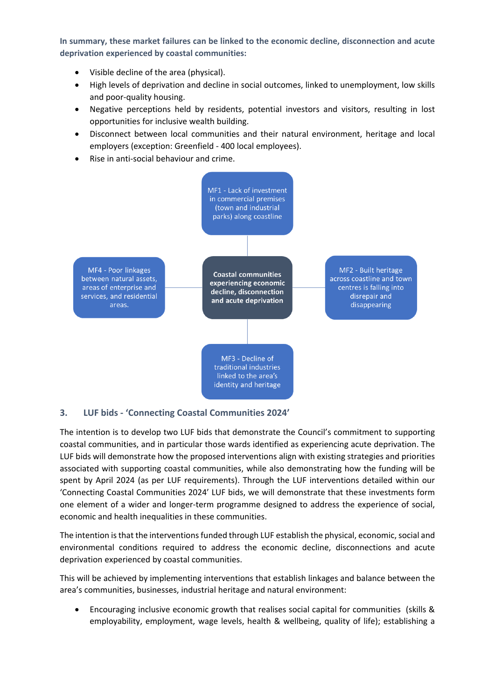**In summary, these market failures can be linked to the economic decline, disconnection and acute deprivation experienced by coastal communities:**

- Visible decline of the area (physical).
- High levels of deprivation and decline in social outcomes, linked to unemployment, low skills and poor-quality housing.
- Negative perceptions held by residents, potential investors and visitors, resulting in lost opportunities for inclusive wealth building.
- Disconnect between local communities and their natural environment, heritage and local employers (exception: Greenfield - 400 local employees).
- Rise in anti-social behaviour and crime.



# **3. LUF bids - 'Connecting Coastal Communities 2024'**

The intention is to develop two LUF bids that demonstrate the Council's commitment to supporting coastal communities, and in particular those wards identified as experiencing acute deprivation. The LUF bids will demonstrate how the proposed interventions align with existing strategies and priorities associated with supporting coastal communities, while also demonstrating how the funding will be spent by April 2024 (as per LUF requirements). Through the LUF interventions detailed within our 'Connecting Coastal Communities 2024' LUF bids, we will demonstrate that these investments form one element of a wider and longer-term programme designed to address the experience of social, economic and health inequalities in these communities.

The intention is that the interventions funded through LUF establish the physical, economic, social and environmental conditions required to address the economic decline, disconnections and acute deprivation experienced by coastal communities.

This will be achieved by implementing interventions that establish linkages and balance between the area's communities, businesses, industrial heritage and natural environment:

 Encouraging inclusive economic growth that realises social capital for communities (skills & employability, employment, wage levels, health & wellbeing, quality of life); establishing a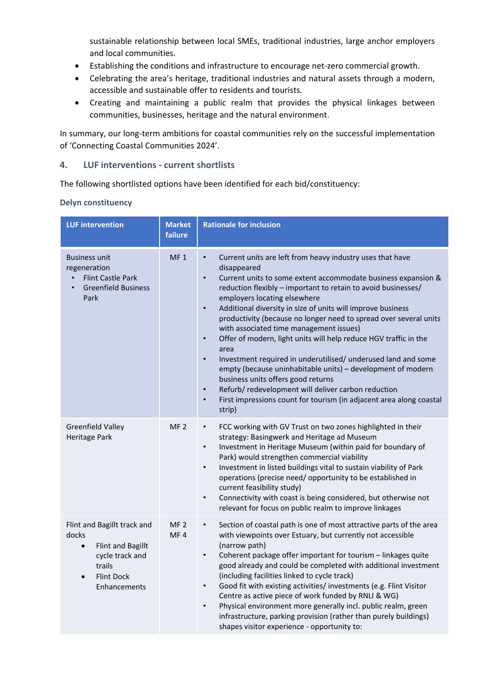sustainable relationship between local SMEs, traditional industries, large anchor employers and local communities.

- Establishing the conditions and infrastructure to encourage net-zero commercial growth.
- Celebrating the area's heritage, traditional industries and natural assets through a modern, accessible and sustainable offer to residents and tourists.
- Creating and maintaining a public realm that provides the physical linkages between communities, businesses, heritage and the natural environment.

In summary, our long-term ambitions for coastal communities rely on the successful implementation of 'Connecting Coastal Communities 2024'.

## **4. LUF interventions - current shortlists**

The following shortlisted options have been identified for each bid/constituency:

**Delyn constituency**

| <b>LUF intervention</b>                                                                                                                                      | <b>Market</b><br>failure | <b>Rationale for inclusion</b>                                                                                                                                                                                                                                                                                                                                                                                                                                                                                                                                                                                                                                                                                                                                                                                                                                                                                 |
|--------------------------------------------------------------------------------------------------------------------------------------------------------------|--------------------------|----------------------------------------------------------------------------------------------------------------------------------------------------------------------------------------------------------------------------------------------------------------------------------------------------------------------------------------------------------------------------------------------------------------------------------------------------------------------------------------------------------------------------------------------------------------------------------------------------------------------------------------------------------------------------------------------------------------------------------------------------------------------------------------------------------------------------------------------------------------------------------------------------------------|
| <b>Business unit</b><br>regeneration<br><b>Flint Castle Park</b><br><b>Greenfield Business</b><br>Park                                                       | MF <sub>1</sub>          | Current units are left from heavy industry uses that have<br>$\bullet$<br>disappeared<br>Current units to some extent accommodate business expansion &<br>$\bullet$<br>reduction flexibly - important to retain to avoid businesses/<br>employers locating elsewhere<br>Additional diversity in size of units will improve business<br>$\bullet$<br>productivity (because no longer need to spread over several units<br>with associated time management issues)<br>Offer of modern, light units will help reduce HGV traffic in the<br>$\bullet$<br>area<br>Investment required in underutilised/ underused land and some<br>$\bullet$<br>empty (because uninhabitable units) - development of modern<br>business units offers good returns<br>Refurb/ redevelopment will deliver carbon reduction<br>$\bullet$<br>First impressions count for tourism (in adjacent area along coastal<br>$\bullet$<br>strip) |
| <b>Greenfield Valley</b><br><b>Heritage Park</b>                                                                                                             | MF <sub>2</sub>          | FCC working with GV Trust on two zones highlighted in their<br>$\bullet$<br>strategy: Basingwerk and Heritage ad Museum<br>Investment in Heritage Museum (within paid for boundary of<br>$\bullet$<br>Park) would strengthen commercial viability<br>Investment in listed buildings vital to sustain viability of Park<br>$\bullet$<br>operations (precise need/ opportunity to be established in<br>current feasibility study)<br>Connectivity with coast is being considered, but otherwise not<br>$\bullet$<br>relevant for focus on public realm to improve linkages                                                                                                                                                                                                                                                                                                                                       |
| Flint and Bagillt track and<br>docks<br><b>Flint and Bagillt</b><br>$\bullet$<br>cycle track and<br>trails<br><b>Flint Dock</b><br>$\bullet$<br>Enhancements | MF <sub>2</sub><br>MF4   | Section of coastal path is one of most attractive parts of the area<br>$\bullet$<br>with viewpoints over Estuary, but currently not accessible<br>(narrow path)<br>Coherent package offer important for tourism - linkages quite<br>$\bullet$<br>good already and could be completed with additional investment<br>(including facilities linked to cycle track)<br>Good fit with existing activities/ investments (e.g. Flint Visitor<br>$\bullet$<br>Centre as active piece of work funded by RNLI & WG)<br>Physical environment more generally incl. public realm, green<br>$\bullet$<br>infrastructure, parking provision (rather than purely buildings)<br>shapes visitor experience - opportunity to:                                                                                                                                                                                                     |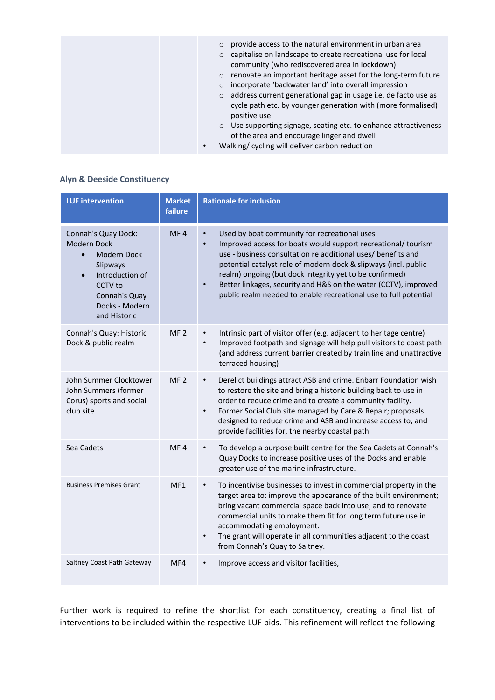| o provide access to the natural environment in urban area<br>o capitalise on landscape to create recreational use for local<br>community (who rediscovered area in lockdown)<br>o renovate an important heritage asset for the long-term future<br>incorporate 'backwater land' into overall impression<br>$\circ$<br>o address current generational gap in usage i.e. de facto use as<br>cycle path etc. by younger generation with (more formalised)<br>positive use |
|------------------------------------------------------------------------------------------------------------------------------------------------------------------------------------------------------------------------------------------------------------------------------------------------------------------------------------------------------------------------------------------------------------------------------------------------------------------------|
| o Use supporting signage, seating etc. to enhance attractiveness<br>of the area and encourage linger and dwell<br>Walking/cycling will deliver carbon reduction                                                                                                                                                                                                                                                                                                        |

# **Alyn & Deeside Constituency**

| <b>LUF intervention</b>                                                                                                                                                         | <b>Market</b><br>failure | <b>Rationale for inclusion</b>                                                                                                                                                                                                                                                                                                                                                                                                                                              |
|---------------------------------------------------------------------------------------------------------------------------------------------------------------------------------|--------------------------|-----------------------------------------------------------------------------------------------------------------------------------------------------------------------------------------------------------------------------------------------------------------------------------------------------------------------------------------------------------------------------------------------------------------------------------------------------------------------------|
| Connah's Quay Dock:<br>Modern Dock<br><b>Modern Dock</b><br>$\bullet$<br>Slipways<br>Introduction of<br>$\bullet$<br>CCTV to<br>Connah's Quay<br>Docks - Modern<br>and Historic | MF4                      | Used by boat community for recreational uses<br>Improved access for boats would support recreational/tourism<br>$\bullet$<br>use - business consultation re additional uses/ benefits and<br>potential catalyst role of modern dock & slipways (incl. public<br>realm) ongoing (but dock integrity yet to be confirmed)<br>Better linkages, security and H&S on the water (CCTV), improved<br>$\bullet$<br>public realm needed to enable recreational use to full potential |
| Connah's Quay: Historic<br>Dock & public realm                                                                                                                                  | MF <sub>2</sub>          | Intrinsic part of visitor offer (e.g. adjacent to heritage centre)<br>$\bullet$<br>Improved footpath and signage will help pull visitors to coast path<br>$\bullet$<br>(and address current barrier created by train line and unattractive<br>terraced housing)                                                                                                                                                                                                             |
| John Summer Clocktower<br>John Summers (former<br>Corus) sports and social<br>club site                                                                                         | MF <sub>2</sub>          | Derelict buildings attract ASB and crime. Enbarr Foundation wish<br>$\bullet$<br>to restore the site and bring a historic building back to use in<br>order to reduce crime and to create a community facility.<br>Former Social Club site managed by Care & Repair; proposals<br>$\bullet$<br>designed to reduce crime and ASB and increase access to, and<br>provide facilities for, the nearby coastal path.                                                              |
| Sea Cadets                                                                                                                                                                      | MF4                      | To develop a purpose built centre for the Sea Cadets at Connah's<br>Quay Docks to increase positive uses of the Docks and enable<br>greater use of the marine infrastructure.                                                                                                                                                                                                                                                                                               |
| <b>Business Premises Grant</b>                                                                                                                                                  | MF1                      | To incentivise businesses to invest in commercial property in the<br>$\bullet$<br>target area to: improve the appearance of the built environment;<br>bring vacant commercial space back into use; and to renovate<br>commercial units to make them fit for long term future use in<br>accommodating employment.<br>The grant will operate in all communities adjacent to the coast<br>from Connah's Quay to Saltney.                                                       |
| Saltney Coast Path Gateway                                                                                                                                                      | MF4                      | Improve access and visitor facilities,                                                                                                                                                                                                                                                                                                                                                                                                                                      |

Further work is required to refine the shortlist for each constituency, creating a final list of interventions to be included within the respective LUF bids. This refinement will reflect the following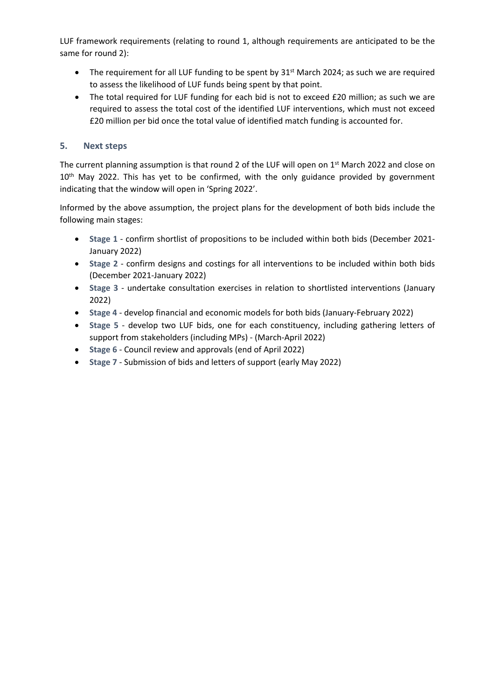LUF framework requirements (relating to round 1, although requirements are anticipated to be the same for round 2):

- The requirement for all LUF funding to be spent by  $31<sup>st</sup>$  March 2024; as such we are required to assess the likelihood of LUF funds being spent by that point.
- The total required for LUF funding for each bid is not to exceed £20 million; as such we are required to assess the total cost of the identified LUF interventions, which must not exceed £20 million per bid once the total value of identified match funding is accounted for.

# **5. Next steps**

The current planning assumption is that round 2 of the LUF will open on 1<sup>st</sup> March 2022 and close on 10<sup>th</sup> May 2022. This has yet to be confirmed, with the only guidance provided by government indicating that the window will open in 'Spring 2022'.

Informed by the above assumption, the project plans for the development of both bids include the following main stages:

- **Stage 1** confirm shortlist of propositions to be included within both bids (December 2021- January 2022)
- **Stage 2** confirm designs and costings for all interventions to be included within both bids (December 2021-January 2022)
- **Stage 3** undertake consultation exercises in relation to shortlisted interventions (January 2022)
- **Stage 4** develop financial and economic models for both bids (January-February 2022)
- **Stage 5** develop two LUF bids, one for each constituency, including gathering letters of support from stakeholders (including MPs) - (March-April 2022)
- **Stage 6** Council review and approvals (end of April 2022)
- **Stage 7** Submission of bids and letters of support (early May 2022)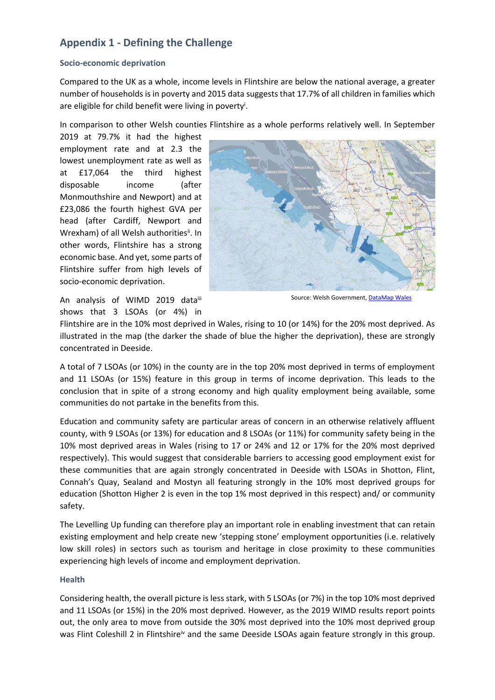# **Appendix 1 - Defining the Challenge**

### **Socio-economic deprivation**

Compared to the UK as a whole, income levels in Flintshire are below the national average, a greater number of households is in poverty and 2015 data suggests that 17.7% of all children in families which are eligible for child benefit were living in poverty<sup>i</sup>.

In comparison to other Welsh counties Flintshire as a whole performs relatively well. In September

2019 at 79.7% it had the highest employment rate and at 2.3 the lowest unemployment rate as well as at £17,064 the third highest disposable income (after Monmouthshire and Newport) and at £23,086 the fourth highest GVA per head (after Cardiff, Newport and Wrexham) of all Welsh authoritiesii. In other words, Flintshire has a strong economic base. And yet, some parts of Flintshire suffer from high levels of socio-economic deprivation.



Source: Welsh Government, [DataMap](https://datamap.gov.wales/maps/new?layer=inspire-wg:wimd2019_overall) Wales

An analysis of WIMD 2019 dataiii shows that 3 LSOAs (or 4%) in

Flintshire are in the 10% most deprived in Wales, rising to 10 (or 14%) for the 20% most deprived. As illustrated in the map (the darker the shade of blue the higher the deprivation), these are strongly concentrated in Deeside.

A total of 7 LSOAs (or 10%) in the county are in the top 20% most deprived in terms of employment and 11 LSOAs (or 15%) feature in this group in terms of income deprivation. This leads to the conclusion that in spite of a strong economy and high quality employment being available, some communities do not partake in the benefits from this.

Education and community safety are particular areas of concern in an otherwise relatively affluent county, with 9 LSOAs (or 13%) for education and 8 LSOAs (or 11%) for community safety being in the 10% most deprived areas in Wales (rising to 17 or 24% and 12 or 17% for the 20% most deprived respectively). This would suggest that considerable barriers to accessing good employment exist for these communities that are again strongly concentrated in Deeside with LSOAs in Shotton, Flint, Connah's Quay, Sealand and Mostyn all featuring strongly in the 10% most deprived groups for education (Shotton Higher 2 is even in the top 1% most deprived in this respect) and/ or community safety.

The Levelling Up funding can therefore play an important role in enabling investment that can retain existing employment and help create new 'stepping stone' employment opportunities (i.e. relatively low skill roles) in sectors such as tourism and heritage in close proximity to these communities experiencing high levels of income and employment deprivation.

## **Health**

Considering health, the overall picture is less stark, with 5 LSOAs (or 7%) in the top 10% most deprived and 11 LSOAs (or 15%) in the 20% most deprived. However, as the 2019 WIMD results report points out, the only area to move from outside the 30% most deprived into the 10% most deprived group was Flint Coleshill 2 in Flintshire<sup>iv</sup> and the same Deeside LSOAs again feature strongly in this group.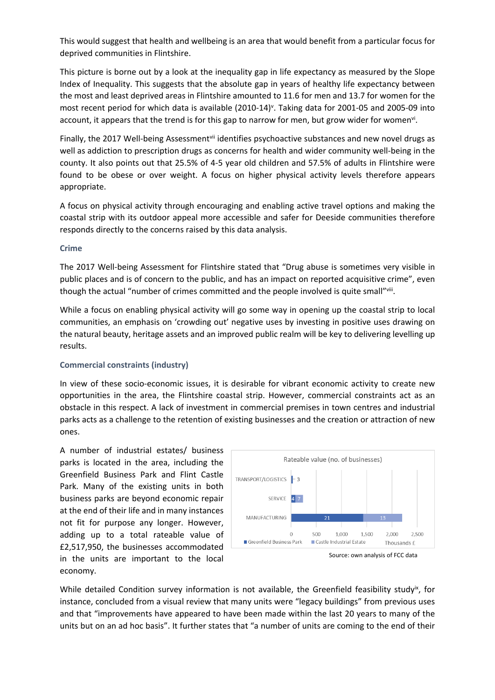This would suggest that health and wellbeing is an area that would benefit from a particular focus for deprived communities in Flintshire.

This picture is borne out by a look at the inequality gap in life expectancy as measured by the Slope Index of Inequality. This suggests that the absolute gap in years of healthy life expectancy between the most and least deprived areas in Flintshire amounted to 11.6 for men and 13.7 for women for the most recent period for which data is available (2010-14)<sup>v</sup>. Taking data for 2001-05 and 2005-09 into account, it appears that the trend is for this gap to narrow for men, but grow wider for women<sup>vi</sup>.

Finally, the 2017 Well-being Assessment<sup>vii</sup> identifies psychoactive substances and new novel drugs as well as addiction to prescription drugs as concerns for health and wider community well-being in the county. It also points out that 25.5% of 4-5 year old children and 57.5% of adults in Flintshire were found to be obese or over weight. A focus on higher physical activity levels therefore appears appropriate.

A focus on physical activity through encouraging and enabling active travel options and making the coastal strip with its outdoor appeal more accessible and safer for Deeside communities therefore responds directly to the concerns raised by this data analysis.

### **Crime**

The 2017 Well-being Assessment for Flintshire stated that "Drug abuse is sometimes very visible in public places and is of concern to the public, and has an impact on reported acquisitive crime", even though the actual "number of crimes committed and the people involved is quite small"viii.

While a focus on enabling physical activity will go some way in opening up the coastal strip to local communities, an emphasis on 'crowding out' negative uses by investing in positive uses drawing on the natural beauty, heritage assets and an improved public realm will be key to delivering levelling up results.

## **Commercial constraints (industry)**

In view of these socio-economic issues, it is desirable for vibrant economic activity to create new opportunities in the area, the Flintshire coastal strip. However, commercial constraints act as an obstacle in this respect. A lack of investment in commercial premises in town centres and industrial parks acts as a challenge to the retention of existing businesses and the creation or attraction of new ones.

A number of industrial estates/ business parks is located in the area, including the Greenfield Business Park and Flint Castle Park. Many of the existing units in both business parks are beyond economic repair at the end of their life and in many instances not fit for purpose any longer. However, adding up to a total rateable value of £2,517,950, the businesses accommodated in the units are important to the local economy.



While detailed Condition survey information is not available, the Greenfield feasibility studyix, for instance, concluded from a visual review that many units were "legacy buildings" from previous uses and that "improvements have appeared to have been made within the last 20 years to many of the units but on an ad hoc basis". It further states that "a number of units are coming to the end of their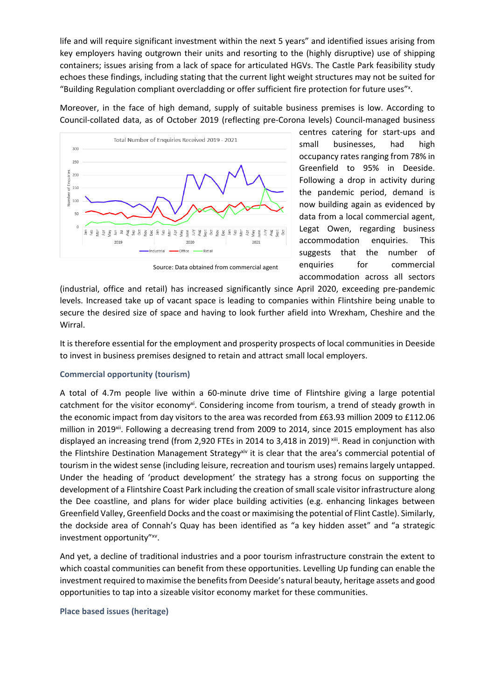life and will require significant investment within the next 5 years" and identified issues arising from key employers having outgrown their units and resorting to the (highly disruptive) use of shipping containers; issues arising from a lack of space for articulated HGVs. The Castle Park feasibility study echoes these findings, including stating that the current light weight structures may not be suited for "Building Regulation compliant overcladding or offer sufficient fire protection for future uses"x.

Moreover, in the face of high demand, supply of suitable business premises is low. According to Council-collated data, as of October 2019 (reflecting pre-Corona levels) Council-managed business



centres catering for start-ups and small businesses, had high occupancy rates ranging from 78% in Greenfield to 95% in Deeside. Following a drop in activity during the pandemic period, demand is now building again as evidenced by data from a local commercial agent, Legat Owen, regarding business accommodation enquiries. This suggests that the number of enquiries for commercial accommodation across all sectors

Source: Data obtained from commercial agent

(industrial, office and retail) has increased significantly since April 2020, exceeding pre-pandemic levels. Increased take up of vacant space is leading to companies within Flintshire being unable to secure the desired size of space and having to look further afield into Wrexham, Cheshire and the Wirral.

It is therefore essential for the employment and prosperity prospects of local communities in Deeside to invest in business premises designed to retain and attract small local employers.

## **Commercial opportunity (tourism)**

A total of 4.7m people live within a 60-minute drive time of Flintshire giving a large potential catchment for the visitor economy<sup>xi</sup>. Considering income from tourism, a trend of steady growth in the economic impact from day visitors to the area was recorded from £63.93 million 2009 to £112.06 million in 2019<sup>xii</sup>. Following a decreasing trend from 2009 to 2014, since 2015 employment has also displayed an increasing trend (from 2,920 FTEs in 2014 to 3,418 in 2019)<sup>xiii</sup>. Read in conjunction with the Flintshire Destination Management Strategyxiv it is clear that the area's commercial potential of tourism in the widest sense (including leisure, recreation and tourism uses) remains largely untapped. Under the heading of 'product development' the strategy has a strong focus on supporting the development of a Flintshire Coast Park including the creation of small scale visitor infrastructure along the Dee coastline, and plans for wider place building activities (e.g. enhancing linkages between Greenfield Valley, Greenfield Docks and the coast or maximising the potential of Flint Castle). Similarly, the dockside area of Connah's Quay has been identified as "a key hidden asset" and "a strategic investment opportunity"xv.

And yet, a decline of traditional industries and a poor tourism infrastructure constrain the extent to which coastal communities can benefit from these opportunities. Levelling Up funding can enable the investment required to maximise the benefits from Deeside's natural beauty, heritage assets and good opportunities to tap into a sizeable visitor economy market for these communities.

## **Place based issues (heritage)**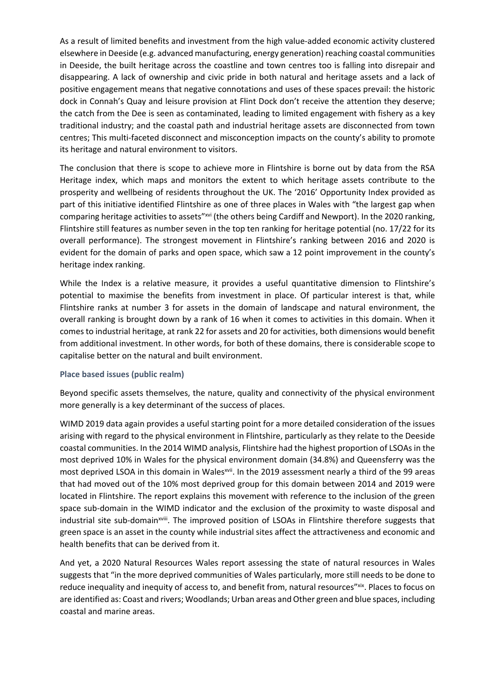As a result of limited benefits and investment from the high value-added economic activity clustered elsewhere in Deeside (e.g. advanced manufacturing, energy generation) reaching coastal communities in Deeside, the built heritage across the coastline and town centres too is falling into disrepair and disappearing. A lack of ownership and civic pride in both natural and heritage assets and a lack of positive engagement means that negative connotations and uses of these spaces prevail: the historic dock in Connah's Quay and leisure provision at Flint Dock don't receive the attention they deserve; the catch from the Dee is seen as contaminated, leading to limited engagement with fishery as a key traditional industry; and the coastal path and industrial heritage assets are disconnected from town centres; This multi-faceted disconnect and misconception impacts on the county's ability to promote its heritage and natural environment to visitors.

The conclusion that there is scope to achieve more in Flintshire is borne out by data from the RSA Heritage index, which maps and monitors the extent to which heritage assets contribute to the prosperity and wellbeing of residents throughout the UK. The '2016' Opportunity Index provided as part of this initiative identified Flintshire as one of three places in Wales with "the largest gap when comparing heritage activities to assets"xvi (the others being Cardiff and Newport). In the 2020 ranking, Flintshire still features as number seven in the top ten ranking for heritage potential (no. 17/22 for its overall performance). The strongest movement in Flintshire's ranking between 2016 and 2020 is evident for the domain of parks and open space, which saw a 12 point improvement in the county's heritage index ranking.

While the Index is a relative measure, it provides a useful quantitative dimension to Flintshire's potential to maximise the benefits from investment in place. Of particular interest is that, while Flintshire ranks at number 3 for assets in the domain of landscape and natural environment, the overall ranking is brought down by a rank of 16 when it comes to activities in this domain. When it comes to industrial heritage, at rank 22 for assets and 20 for activities, both dimensions would benefit from additional investment. In other words, for both of these domains, there is considerable scope to capitalise better on the natural and built environment.

### **Place based issues (public realm)**

Beyond specific assets themselves, the nature, quality and connectivity of the physical environment more generally is a key determinant of the success of places.

WIMD 2019 data again provides a useful starting point for a more detailed consideration of the issues arising with regard to the physical environment in Flintshire, particularly as they relate to the Deeside coastal communities. In the 2014 WIMD analysis, Flintshire had the highest proportion of LSOAs in the most deprived 10% in Wales for the physical environment domain (34.8%) and Queensferry was the most deprived LSOA in this domain in Walesxvii. In the 2019 assessment nearly a third of the 99 areas that had moved out of the 10% most deprived group for this domain between 2014 and 2019 were located in Flintshire. The report explains this movement with reference to the inclusion of the green space sub-domain in the WIMD indicator and the exclusion of the proximity to waste disposal and industrial site sub-domain<sup>xviii</sup>. The improved position of LSOAs in Flintshire therefore suggests that green space is an asset in the county while industrial sites affect the attractiveness and economic and health benefits that can be derived from it.

And yet, a 2020 Natural Resources Wales report assessing the state of natural resources in Wales suggests that "in the more deprived communities of Wales particularly, more still needs to be done to reduce inequality and inequity of access to, and benefit from, natural resources"xix. Places to focus on are identified as: Coast and rivers; Woodlands; Urban areas and Other green and blue spaces, including coastal and marine areas.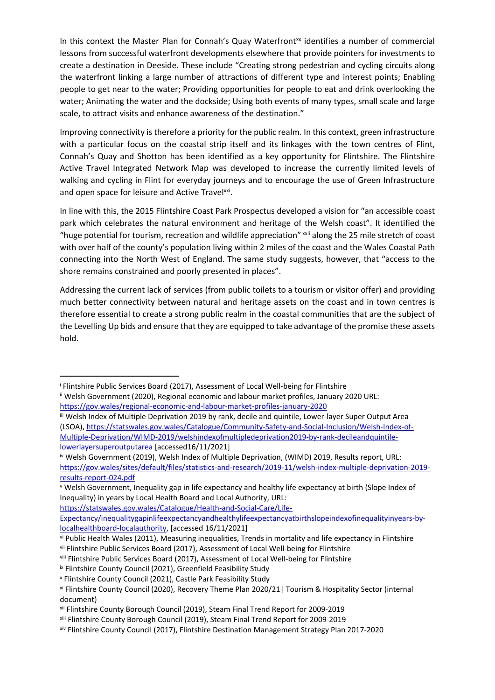In this context the Master Plan for Connah's Quay Waterfront<sup>xx</sup> identifies a number of commercial lessons from successful waterfront developments elsewhere that provide pointers for investments to create a destination in Deeside. These include "Creating strong pedestrian and cycling circuits along the waterfront linking a large number of attractions of different type and interest points; Enabling people to get near to the water; Providing opportunities for people to eat and drink overlooking the water; Animating the water and the dockside; Using both events of many types, small scale and large scale, to attract visits and enhance awareness of the destination."

Improving connectivity is therefore a priority for the public realm. In this context, green infrastructure with a particular focus on the coastal strip itself and its linkages with the town centres of Flint, Connah's Quay and Shotton has been identified as a key opportunity for Flintshire. The Flintshire Active Travel Integrated Network Map was developed to increase the currently limited levels of walking and cycling in Flint for everyday journeys and to encourage the use of Green Infrastructure and open space for leisure and Active Travelxxi.

In line with this, the 2015 Flintshire Coast Park Prospectus developed a vision for "an accessible coast park which celebrates the natural environment and heritage of the Welsh coast". It identified the "huge potential for tourism, recreation and wildlife appreciation" xxii along the 25 mile stretch of coast with over half of the county's population living within 2 miles of the coast and the Wales Coastal Path connecting into the North West of England. The same study suggests, however, that "access to the shore remains constrained and poorly presented in places".

Addressing the current lack of services (from public toilets to a tourism or visitor offer) and providing much better connectivity between natural and heritage assets on the coast and in town centres is therefore essential to create a strong public realm in the coastal communities that are the subject of the Levelling Up bids and ensure that they are equipped to take advantage of the promise these assets hold.

<sup>&</sup>lt;sup>i</sup> Flintshire Public Services Board (2017), Assessment of Local Well-being for Flintshire

ii Welsh Government (2020), Regional economic and labour market profiles, January 2020 URL: <https://gov.wales/regional-economic-and-labour-market-profiles-january-2020>

iii Welsh Index of Multiple Deprivation 2019 by rank, decile and quintile, Lower-layer Super Output Area (LSOA), [https://statswales.gov.wales/Catalogue/Community-Safety-and-Social-Inclusion/Welsh-Index-of-](https://statswales.gov.wales/Catalogue/Community-Safety-and-Social-Inclusion/Welsh-Index-of-Multiple-Deprivation/WIMD-2019/welshindexofmultipledeprivation2019-by-rank-decileandquintile-lowerlayersuperoutputarea)[Multiple-Deprivation/WIMD-2019/welshindexofmultipledeprivation2019-by-rank-decileandquintile](https://statswales.gov.wales/Catalogue/Community-Safety-and-Social-Inclusion/Welsh-Index-of-Multiple-Deprivation/WIMD-2019/welshindexofmultipledeprivation2019-by-rank-decileandquintile-lowerlayersuperoutputarea)[lowerlayersuperoutputarea](https://statswales.gov.wales/Catalogue/Community-Safety-and-Social-Inclusion/Welsh-Index-of-Multiple-Deprivation/WIMD-2019/welshindexofmultipledeprivation2019-by-rank-decileandquintile-lowerlayersuperoutputarea) [accessed16/11/2021]

iv Welsh Government (2019), Welsh Index of Multiple Deprivation, (WIMD) 2019, Results report, URL: [https://gov.wales/sites/default/files/statistics-and-research/2019-11/welsh-index-multiple-deprivation-2019](https://gov.wales/sites/default/files/statistics-and-research/2019-11/welsh-index-multiple-deprivation-2019-results-report-024.pdf) [results-report-024.pdf](https://gov.wales/sites/default/files/statistics-and-research/2019-11/welsh-index-multiple-deprivation-2019-results-report-024.pdf)

<sup>v</sup> Welsh Government, Inequality gap in life expectancy and healthy life expectancy at birth (Slope Index of Inequality) in years by Local Health Board and Local Authority, URL:

[https://statswales.gov.wales/Catalogue/Health-and-Social-Care/Life-](https://statswales.gov.wales/Catalogue/Health-and-Social-Care/Life-Expectancy/inequalitygapinlifeexpectancyandhealthylifeexpectancyatbirthslopeindexofinequalityinyears-by-localhealthboard-localauthority)

[Expectancy/inequalitygapinlifeexpectancyandhealthylifeexpectancyatbirthslopeindexofinequalityinyears-by](https://statswales.gov.wales/Catalogue/Health-and-Social-Care/Life-Expectancy/inequalitygapinlifeexpectancyandhealthylifeexpectancyatbirthslopeindexofinequalityinyears-by-localhealthboard-localauthority)[localhealthboard-localauthority](https://statswales.gov.wales/Catalogue/Health-and-Social-Care/Life-Expectancy/inequalitygapinlifeexpectancyandhealthylifeexpectancyatbirthslopeindexofinequalityinyears-by-localhealthboard-localauthority), [accessed 16/11/2021]

vi Public Health Wales (2011), Measuring inequalities, Trends in mortality and life expectancy in Flintshire vii Flintshire Public Services Board (2017), Assessment of Local Well-being for Flintshire

viii Flintshire Public Services Board (2017), Assessment of Local Well-being for Flintshire

ix Flintshire County Council (2021), Greenfield Feasibility Study

<sup>x</sup> Flintshire County Council (2021), Castle Park Feasibility Study

xi Flintshire County Council (2020), Recovery Theme Plan 2020/21| Tourism & Hospitality Sector (internal document)

xii Flintshire County Borough Council (2019), Steam Final Trend Report for 2009-2019

xiii Flintshire County Borough Council (2019), Steam Final Trend Report for 2009-2019

xiv Flintshire County Council (2017), Flintshire Destination Management Strategy Plan 2017-2020